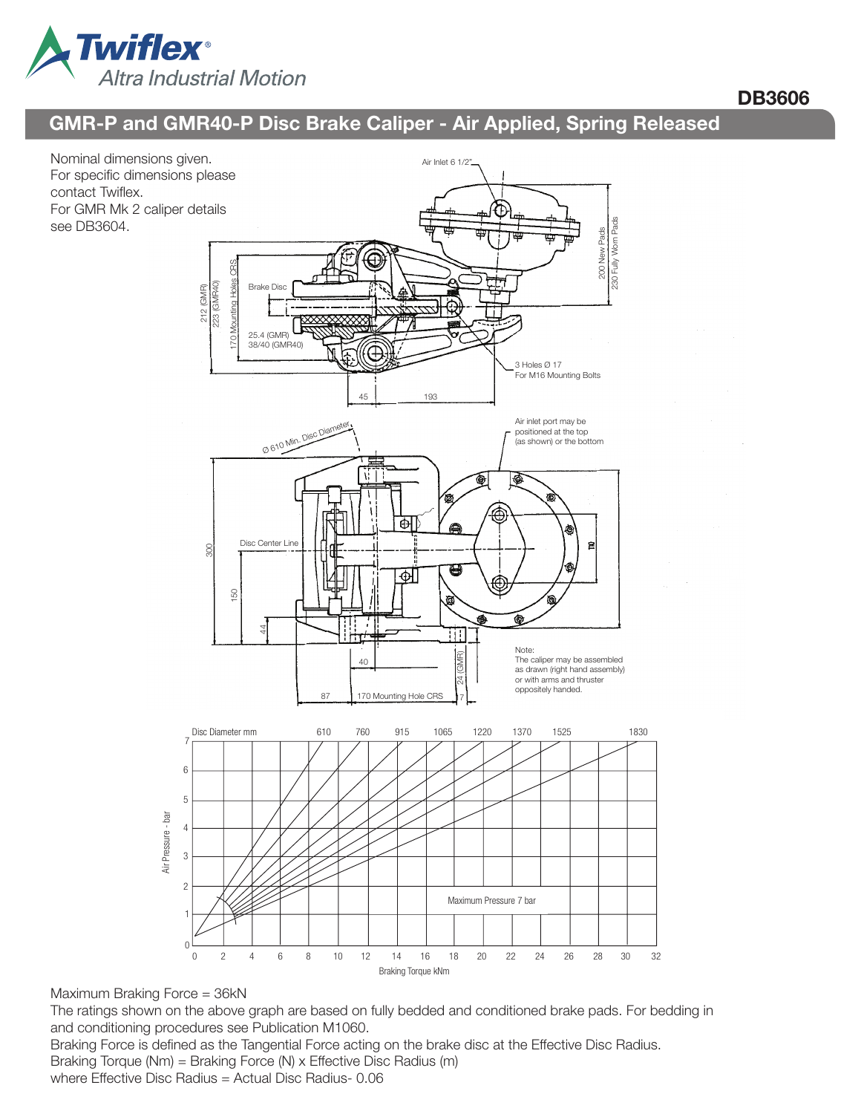

# DB3606

# GMR-P and GMR40-P Disc Brake Caliper - Air Applied, Spring Released



Maximum Braking Force = 36kN

The ratings shown on the above graph are based on fully bedded and conditioned brake pads. For bedding in and conditioning procedures see Publication M1060.

Braking Force is defined as the Tangential Force acting on the brake disc at the Effective Disc Radius. Braking Torque (Nm) = Braking Force (N) x Effective Disc Radius (m)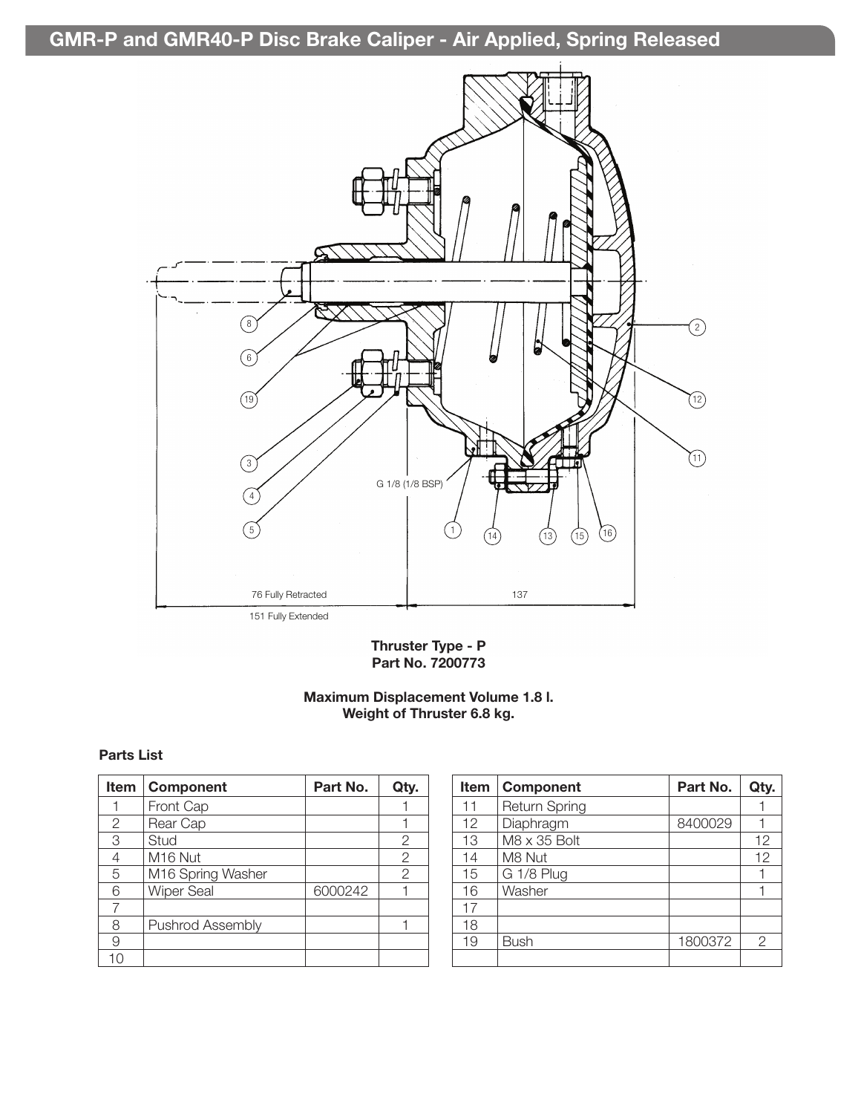GMR-P and GMR40-P Disc Brake Caliper - Air Applied, Spring Released



Thruster Type - P Part No. 7200773

## Maximum Displacement Volume 1.8 l. Weight of Thruster 6.8 kg.

#### Parts List

| <b>Item</b> | <b>Component</b>  | Part No. | Qty.           |
|-------------|-------------------|----------|----------------|
|             | Front Cap         |          |                |
| 2           | Rear Cap          |          |                |
| 3           | Stud              |          | 2              |
| 4           | M16 Nut           |          | 2              |
| 5           | M16 Spring Washer |          | $\overline{2}$ |
| 6           | <b>Wiper Seal</b> | 6000242  |                |
|             |                   |          |                |
| 8           | Pushrod Assembly  |          |                |
| 9           |                   |          |                |
| 10          |                   |          |                |

| <b>Item</b> | <b>Component</b> | Part No. | Qty. |
|-------------|------------------|----------|------|
| 11          | Return Spring    |          |      |
| 12          | Diaphragm        | 8400029  |      |
| 13          | M8 x 35 Bolt     |          | 12   |
| 14          | M8 Nut           |          | 12   |
| 15          | G 1/8 Plug       |          |      |
| 16          | Washer           |          |      |
| 17          |                  |          |      |
| 18          |                  |          |      |
| 19          | Bush             | 1800372  | 2    |
|             |                  |          |      |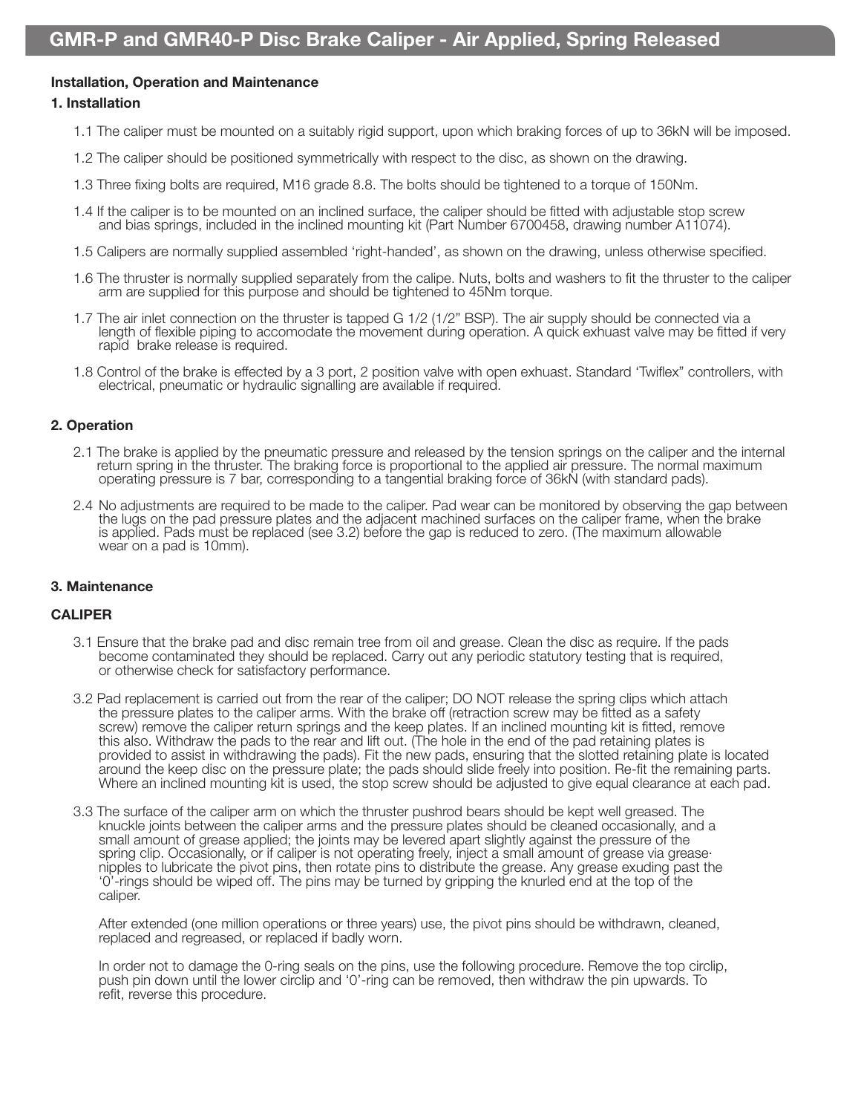#### Installation, Operation and Maintenance

#### 1. Installation

- 1.1 The caliper must be mounted on a suitably rigid support, upon which braking forces of up to 36kN will be imposed.
- 1.2 The caliper should be positioned symmetrically with respect to the disc, as shown on the drawing.
- 1.3 Three fixing bolts are required, M16 grade 8.8. The bolts should be tightened to a torque of 150Nm.
- 1.4 If the caliper is to be mounted on an inclined surface, the caliper should be fitted with adjustable stop screw and bias springs, included in the inclined mounting kit (Part Number 6700458, drawing number A11074).
- 1.5 Calipers are normally supplied assembled 'right-handed', as shown on the drawing, unless otherwise specified.
- 1.6 The thruster is normally supplied separately from the calipe. Nuts, bolts and washers to fit the thruster to the caliper arm are supplied for this purpose and should be tightened to 45Nm torque.
- 1.7 The air inlet connection on the thruster is tapped G 1/2 (1/2" BSP). The air supply should be connected via a<br>length of flexible piping to accomodate the movement during operation. A quick exhuast valve may be fitted i
- 1.8 Control of the brake is effected by a 3 port, 2 position valve with open exhuast. Standard 'Twiflex" controllers, with electrical, pneumatic or hydraulic signalling are available if required.

#### 2. Operation

- 2.1 The brake is applied by the pneumatic pressure and released by the tension springs on the caliper and the internal return spring in the thruster. The braking force is proportional to the applied air pressure. The norma
- 2.4 No adjustments are required to be made to the caliper. Pad wear can be monitored by observing the gap between<br>the lugs on the pad pressure plates and the adjacent machined surfaces on the caliper frame, when the brake<br>

#### 3. Maintenance

#### CALIPER

- 3.1 Ensure that the brake pad and disc remain tree from oil and grease. Clean the disc as require. If the pads become contaminated they should be replaced. Carry out any periodic statutory testing that is required, or otherwise check for satisfactory performance.
- 3.2 Pad replacement is carried out from the rear of the caliper; DO NOT release the spring clips which attach the pressure plates to the caliper arms. With the brake off (retraction screw may be fitted as a safety screw) remove the caliper return springs and the keep plates. If an inclined mounting kit is fitted, remove this also. Withdraw the pads to the rear and lift out. (The hole in the end of the pad retaining plates is provided to assist in withdrawing the pads). Fit the new pads, ensuring that the slotted retaining plate is located around the keep disc on the pressure plate; the pads should slide freely into position. Re-fit the remaining parts. Where an inclined mounting kit is used, the stop screw should be adjusted to give equal clearance at each pad.
- 3.3 The surface of the caliper arm on which the thruster pushrod bears should be kept well greased. The knuckle joints between the caliper arms and the pressure plates should be cleaned occasionally, and a small amount of grease applied; the joints may be levered apart slightly against the pressure of the spring clip. Occasionally, or if caliper is not operating freely, inject a small amount of grease via grease  $\cdot$  nipples to lubricate the pivot pins, then rotate pins to distribute the grease. Any grease exuding past the '0'-rings should be wiped off. The pins may be turned by gripping the knurled end at the top of the caliper.

 After extended (one million operations or three years) use, the pivot pins should be withdrawn, cleaned, replaced and regreased, or replaced if badly worn.

 In order not to damage the 0-ring seals on the pins, use the following procedure. Remove the top circlip, push pin down until the lower circlip and '0'-ring can be removed, then withdraw the pin upwards. To refit, reverse this procedure.